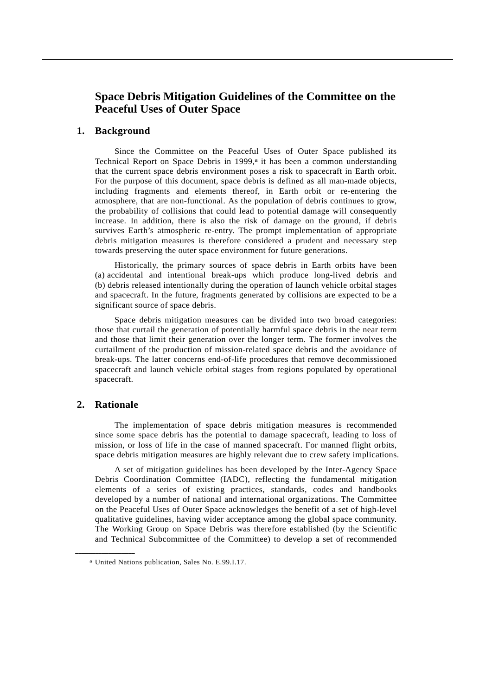# **Space Debris Mitigation Guidelines of the Committee on the Peaceful Uses of Outer Space**

#### **1. Background**

 Since the Committee on the Peaceful Uses of Outer Space published its Technical Report on Space Debris in 1999,<sup>a</sup> it has been a common understanding that the current space debris environment poses a risk to spacecraft in Earth orbit. For the purpose of this document, space debris is defined as all man-made objects, including fragments and elements thereof, in Earth orbit or re-entering the atmosphere, that are non-functional. As the population of debris continues to grow, the probability of collisions that could lead to potential damage will consequently increase. In addition, there is also the risk of damage on the ground, if debris survives Earth's atmospheric re-entry. The prompt implementation of appropriate debris mitigation measures is therefore considered a prudent and necessary step towards preserving the outer space environment for future generations.

 Historically, the primary sources of space debris in Earth orbits have been (a) accidental and intentional break-ups which produce long-lived debris and (b) debris released intentionally during the operation of launch vehicle orbital stages and spacecraft. In the future, fragments generated by collisions are expected to be a significant source of space debris.

 Space debris mitigation measures can be divided into two broad categories: those that curtail the generation of potentially harmful space debris in the near term and those that limit their generation over the longer term. The former involves the curtailment of the production of mission-related space debris and the avoidance of break-ups. The latter concerns end-of-life procedures that remove decommissioned spacecraft and launch vehicle orbital stages from regions populated by operational spacecraft.

### **2. Rationale**

**\_\_\_\_\_\_\_\_\_\_\_\_\_\_\_\_\_\_** 

 The implementation of space debris mitigation measures is recommended since some space debris has the potential to damage spacecraft, leading to loss of mission, or loss of life in the case of manned spacecraft. For manned flight orbits, space debris mitigation measures are highly relevant due to crew safety implications.

 A set of mitigation guidelines has been developed by the Inter-Agency Space Debris Coordination Committee (IADC), reflecting the fundamental mitigation elements of a series of existing practices, standards, codes and handbooks developed by a number of national and international organizations. The Committee on the Peaceful Uses of Outer Space acknowledges the benefit of a set of high-level qualitative guidelines, having wider acceptance among the global space community. The Working Group on Space Debris was therefore established (by the Scientific and Technical Subcommittee of the Committee) to develop a set of recommended

a United Nations publication, Sales No. E.99.I.17.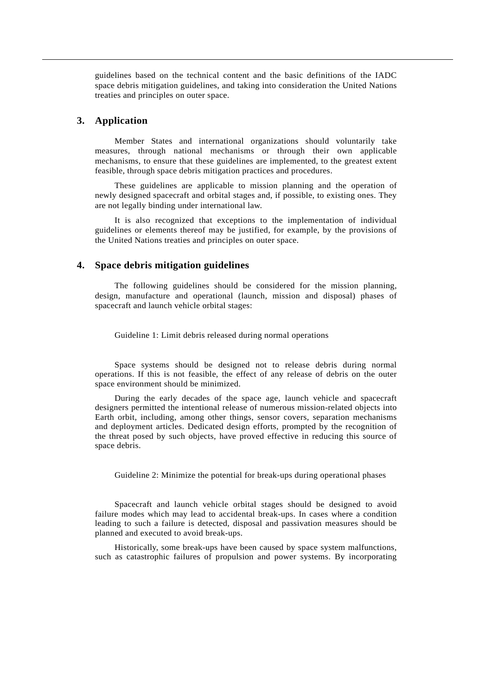guidelines based on the technical content and the basic definitions of the IADC space debris mitigation guidelines, and taking into consideration the United Nations treaties and principles on outer space.

#### **3. Application**

 Member States and international organizations should voluntarily take measures, through national mechanisms or through their own applicable mechanisms, to ensure that these guidelines are implemented, to the greatest extent feasible, through space debris mitigation practices and procedures.

 These guidelines are applicable to mission planning and the operation of newly designed spacecraft and orbital stages and, if possible, to existing ones. They are not legally binding under international law.

 It is also recognized that exceptions to the implementation of individual guidelines or elements thereof may be justified, for example, by the provisions of the United Nations treaties and principles on outer space.

## **4. Space debris mitigation guidelines**

 The following guidelines should be considered for the mission planning, design, manufacture and operational (launch, mission and disposal) phases of spacecraft and launch vehicle orbital stages:

Guideline 1: Limit debris released during normal operations

 Space systems should be designed not to release debris during normal operations. If this is not feasible, the effect of any release of debris on the outer space environment should be minimized.

 During the early decades of the space age, launch vehicle and spacecraft designers permitted the intentional release of numerous mission-related objects into Earth orbit, including, among other things, sensor covers, separation mechanisms and deployment articles. Dedicated design efforts, prompted by the recognition of the threat posed by such objects, have proved effective in reducing this source of space debris.

Guideline 2: Minimize the potential for break-ups during operational phases

 Spacecraft and launch vehicle orbital stages should be designed to avoid failure modes which may lead to accidental break-ups. In cases where a condition leading to such a failure is detected, disposal and passivation measures should be planned and executed to avoid break-ups.

 Historically, some break-ups have been caused by space system malfunctions, such as catastrophic failures of propulsion and power systems. By incorporating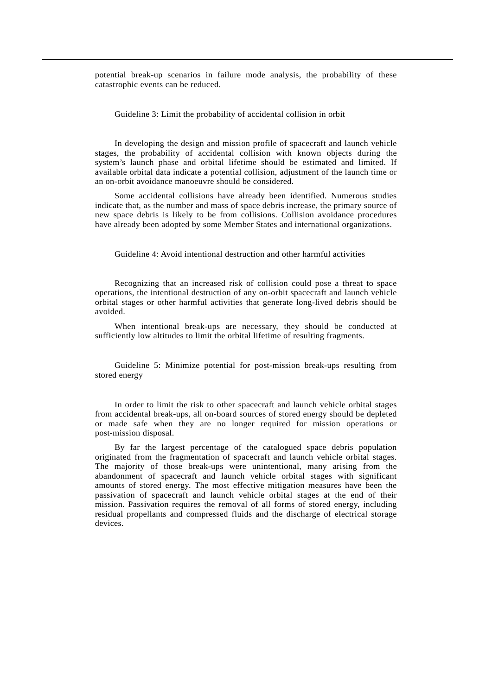potential break-up scenarios in failure mode analysis, the probability of these catastrophic events can be reduced.

Guideline 3: Limit the probability of accidental collision in orbit

 In developing the design and mission profile of spacecraft and launch vehicle stages, the probability of accidental collision with known objects during the system's launch phase and orbital lifetime should be estimated and limited. If available orbital data indicate a potential collision, adjustment of the launch time or an on-orbit avoidance manoeuvre should be considered.

 Some accidental collisions have already been identified. Numerous studies indicate that, as the number and mass of space debris increase, the primary source of new space debris is likely to be from collisions. Collision avoidance procedures have already been adopted by some Member States and international organizations.

Guideline 4: Avoid intentional destruction and other harmful activities

 Recognizing that an increased risk of collision could pose a threat to space operations, the intentional destruction of any on-orbit spacecraft and launch vehicle orbital stages or other harmful activities that generate long-lived debris should be avoided.

 When intentional break-ups are necessary, they should be conducted at sufficiently low altitudes to limit the orbital lifetime of resulting fragments.

 Guideline 5: Minimize potential for post-mission break-ups resulting from stored energy

 In order to limit the risk to other spacecraft and launch vehicle orbital stages from accidental break-ups, all on-board sources of stored energy should be depleted or made safe when they are no longer required for mission operations or post-mission disposal.

 By far the largest percentage of the catalogued space debris population originated from the fragmentation of spacecraft and launch vehicle orbital stages. The majority of those break-ups were unintentional, many arising from the abandonment of spacecraft and launch vehicle orbital stages with significant amounts of stored energy. The most effective mitigation measures have been the passivation of spacecraft and launch vehicle orbital stages at the end of their mission. Passivation requires the removal of all forms of stored energy, including residual propellants and compressed fluids and the discharge of electrical storage devices.